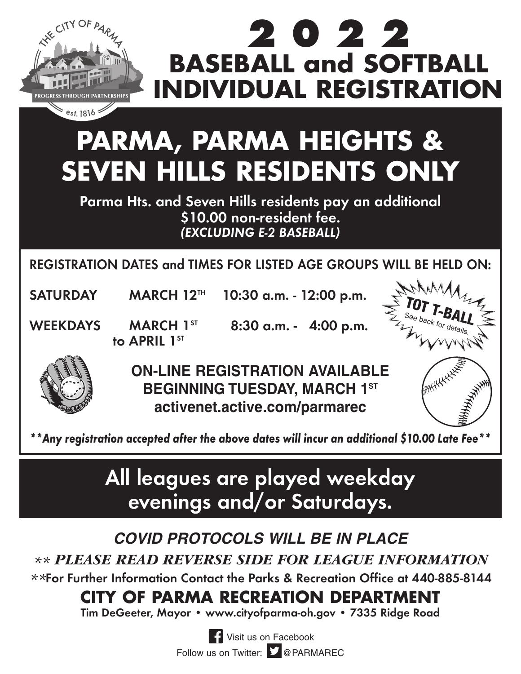

## **2022 BASEBALL and SOFTBALL INDIVIDUAL REGISTRATION**

# **PARMA, PARMA HEIGHTS & SEVEN HILLS RESIDENTS ONLY**

**Parma Hts. and Seven Hills residents pay an additional \$10.00 non-resident fee.** *(EXCLUDING E-2 BASEBALL)*

**REGISTRATION DATES and TIMES FOR LISTED AGE GROUPS WILL BE HELD ON:**

**SATURDAY MARCH 12TH 10:30 a.m. - 12:00 p.m.**

**to APRIL 1st** 

**WEEKDAYS MARCH 1ST 8:30 a.m. - 4:00 p.m.**





**ON-LINE REGISTRATION AVAILABLE BEGINNING TUESDAY, MARCH 1ST activenet.active.com/parmarec**

*\*\*Any registration accepted after the above dates will incur an additional \$10.00 Late Fee\*\**

## **All leagues are played weekday evenings and/or Saturdays.**

#### **COVID PROTOCOLS WILL BE IN PLACE**

*\*\* PLEASE READ REVERSE SIDE FOR LEAGUE INFORMATION*

*\*\****For Further Information Contact the Parks & Recreation Office at 440-885-8144**

#### **CITY OF PARMA RECREATION DEPARTMENT**

**Tim DeGeeter, Mayor • www.cityofparma-oh.gov • 7335 Ridge Road**

**TH** Visit us on Facebook Follow us on Twitter: **D** @PARMAREC